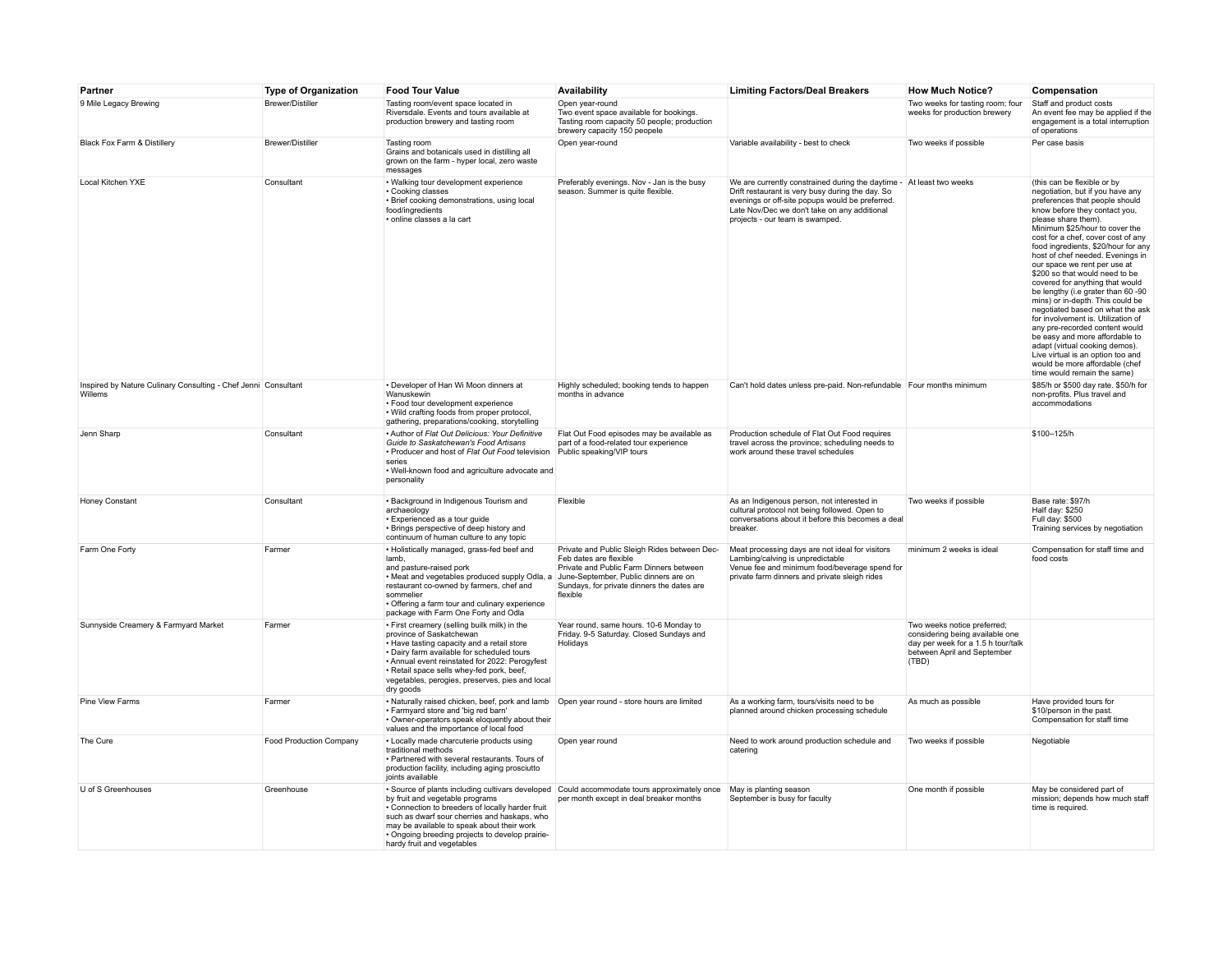| Partner                                                                   | <b>Type of Organization</b> | <b>Food Tour Value</b>                                                                                                                                                                                                                                                                                                              | Availability                                                                                                                                                                                                         | <b>Limiting Factors/Deal Breakers</b>                                                                                                                                                                                                                          | <b>How Much Notice?</b>                                                                                                                      | Compensation                                                                                                                                                                                                                                                                                                                                                                                                                                                                                                                                                                                                                                                                                                                                                                      |
|---------------------------------------------------------------------------|-----------------------------|-------------------------------------------------------------------------------------------------------------------------------------------------------------------------------------------------------------------------------------------------------------------------------------------------------------------------------------|----------------------------------------------------------------------------------------------------------------------------------------------------------------------------------------------------------------------|----------------------------------------------------------------------------------------------------------------------------------------------------------------------------------------------------------------------------------------------------------------|----------------------------------------------------------------------------------------------------------------------------------------------|-----------------------------------------------------------------------------------------------------------------------------------------------------------------------------------------------------------------------------------------------------------------------------------------------------------------------------------------------------------------------------------------------------------------------------------------------------------------------------------------------------------------------------------------------------------------------------------------------------------------------------------------------------------------------------------------------------------------------------------------------------------------------------------|
| 9 Mile Legacy Brewing                                                     | <b>Brewer/Distiller</b>     | Tasting room/event space located in<br>Riversdale. Events and tours available at<br>production brewery and tasting room                                                                                                                                                                                                             | Open year-round<br>Two event space available for bookings.<br>Tasting room capacity 50 people; production<br>brewery capacity 150 peopele                                                                            |                                                                                                                                                                                                                                                                | Two weeks for tasting room; four<br>weeks for production brewery                                                                             | Staff and product costs<br>An event fee may be applied if the<br>engagement is a total interruption<br>of operations                                                                                                                                                                                                                                                                                                                                                                                                                                                                                                                                                                                                                                                              |
| Black Fox Farm & Distillery                                               | <b>Brewer/Distiller</b>     | Tasting room<br>Grains and botanicals used in distilling all<br>grown on the farm - hyper local, zero waste<br>messages                                                                                                                                                                                                             | Open year-round                                                                                                                                                                                                      | Variable availability - best to check                                                                                                                                                                                                                          | Two weeks if possible                                                                                                                        | Per case basis                                                                                                                                                                                                                                                                                                                                                                                                                                                                                                                                                                                                                                                                                                                                                                    |
| Local Kitchen YXE                                                         | Consultant                  | • Walking tour development experience<br>• Cooking classes<br>· Brief cooking demonstrations, using local<br>food/ingredients<br>· online classes a la cart                                                                                                                                                                         | Preferably evenings. Nov - Jan is the busy<br>season. Summer is quite flexible.                                                                                                                                      | We are currently constrained during the daytime - At least two weeks<br>Drift restaurant is very busy during the day. So<br>evenings or off-site popups would be preferred.<br>Late Nov/Dec we don't take on any additional<br>projects - our team is swamped. |                                                                                                                                              | (this can be flexible or by<br>negotiation, but if you have any<br>preferences that people should<br>know before they contact you,<br>please share them).<br>Minimum \$25/hour to cover the<br>cost for a chef, cover cost of any<br>food ingredients, \$20/hour for any<br>host of chef needed. Evenings in<br>our space we rent per use at<br>\$200 so that would need to be<br>covered for anything that would<br>be lengthy (i.e grater than 60 -90<br>mins) or in-depth. This could be<br>negotiated based on what the ask<br>for involvement is. Utilization of<br>any pre-recorded content would<br>be easy and more affordable to<br>adapt (virtual cooking demos).<br>Live virtual is an option too and<br>would be more affordable (chef<br>time would remain the same) |
| Inspired by Nature Culinary Consulting - Chef Jenni Consultant<br>Willems |                             | • Developer of Han Wi Moon dinners at<br>Wanuskewin<br>• Food tour development experience<br>• Wild crafting foods from proper protocol,<br>gathering, preparations/cooking, storytelling                                                                                                                                           | Highly scheduled; booking tends to happen<br>months in advance                                                                                                                                                       | Can't hold dates unless pre-paid. Non-refundable Four months minimum                                                                                                                                                                                           |                                                                                                                                              | \$85/h or \$500 day rate. \$50/h for<br>non-profits. Plus travel and<br>accommodations                                                                                                                                                                                                                                                                                                                                                                                                                                                                                                                                                                                                                                                                                            |
| Jenn Sharp                                                                | Consultant                  | . Author of Flat Out Delicious: Your Definitive<br>Guide to Saskatchewan's Food Artisans<br>• Producer and host of Flat Out Food television<br>series<br>• Well-known food and agriculture advocate and<br>personality                                                                                                              | Flat Out Food episodes may be available as<br>part of a food-related tour experience<br>Public speaking/VIP tours                                                                                                    | Production schedule of Flat Out Food requires<br>travel across the province; scheduling needs to<br>work around these travel schedules                                                                                                                         |                                                                                                                                              | \$100-125/h                                                                                                                                                                                                                                                                                                                                                                                                                                                                                                                                                                                                                                                                                                                                                                       |
| Honey Constant                                                            | Consultant                  | · Background in Indigenous Tourism and<br>archaeology<br>• Experienced as a tour guide<br>• Brings perspective of deep history and<br>continuum of human culture to any topic                                                                                                                                                       | Flexible                                                                                                                                                                                                             | As an Indigenous person, not interested in<br>cultural protocol not being followed. Open to<br>conversations about it before this becomes a deal<br>breaker.                                                                                                   | Two weeks if possible                                                                                                                        | Base rate: \$97/h<br>Half day: \$250<br>Full day: \$500<br>Training services by negotiation                                                                                                                                                                                                                                                                                                                                                                                                                                                                                                                                                                                                                                                                                       |
| Farm One Forty                                                            | Farmer                      | . Holistically managed, grass-fed beef and<br>lamb.<br>and pasture-raised pork<br>• Meat and vegetables produced supply Odla, a<br>restaurant co-owned by farmers, chef and<br>sommelier<br>• Offering a farm tour and culinary experience<br>package with Farm One Forty and Odla                                                  | Private and Public Sleigh Rides between Dec-<br>Feb dates are flexible<br>Private and Public Farm Dinners between<br>June-September, Public dinners are on<br>Sundays, for private dinners the dates are<br>flexible | Meat processing days are not ideal for visitors<br>Lambing/calving is unpredictable<br>Venue fee and minimum food/beverage spend for<br>private farm dinners and private sleigh rides                                                                          | minimum 2 weeks is ideal                                                                                                                     | Compensation for staff time and<br>food costs                                                                                                                                                                                                                                                                                                                                                                                                                                                                                                                                                                                                                                                                                                                                     |
| Sunnyside Creamery & Farmyard Market                                      | Farmer                      | . First creamery (selling builk milk) in the<br>province of Saskatchewan<br>. Have tasting capacity and a retail store<br>. Dairy farm available for scheduled tours<br>· Annual event reinstated for 2022: Perogyfest<br>· Retail space sells whey-fed pork, beef,<br>vegetables, perogies, preserves, pies and local<br>dry goods | Year round, same hours, 10-6 Monday to<br>Friday. 9-5 Saturday. Closed Sundays and<br>Holidays                                                                                                                       |                                                                                                                                                                                                                                                                | Two weeks notice preferred:<br>considering being available one<br>day per week for a 1.5 h tour/talk<br>between April and September<br>(TBD) |                                                                                                                                                                                                                                                                                                                                                                                                                                                                                                                                                                                                                                                                                                                                                                                   |
| Pine View Farms                                                           | Farmer                      | • Naturally raised chicken, beef, pork and lamb   Open year round - store hours are limited<br>. Farmvard store and 'big red barn'<br>• Owner-operators speak eloquently about their<br>values and the importance of local food                                                                                                     |                                                                                                                                                                                                                      | As a working farm, tours/visits need to be<br>planned around chicken processing schedule                                                                                                                                                                       | As much as possible                                                                                                                          | Have provided tours for<br>\$10/person in the past.<br>Compensation for staff time                                                                                                                                                                                                                                                                                                                                                                                                                                                                                                                                                                                                                                                                                                |
| The Cure                                                                  | Food Production Company     | • Locally made charcuterie products using<br>traditional methods<br>. Partnered with several restaurants. Tours of<br>production facility, including aging prosciutto<br>joints available                                                                                                                                           | Open year round                                                                                                                                                                                                      | Need to work around production schedule and<br>catering                                                                                                                                                                                                        | Two weeks if possible                                                                                                                        | Negotiable                                                                                                                                                                                                                                                                                                                                                                                                                                                                                                                                                                                                                                                                                                                                                                        |
| U of S Greenhouses                                                        | Greenhouse                  | . Source of plants including cultivars developed<br>by fruit and vegetable programs<br>• Connection to breeders of locally harder fruit<br>such as dwarf sour cherries and haskaps, who<br>may be available to speak about their work<br>• Ongoing breeding projects to develop prairie-<br>hardy fruit and vegetables              | Could accommodate tours approximately once<br>per month except in deal breaker months                                                                                                                                | May is planting season<br>September is busy for faculty                                                                                                                                                                                                        | One month if possible                                                                                                                        | May be considered part of<br>mission; depends how much staff<br>time is required.                                                                                                                                                                                                                                                                                                                                                                                                                                                                                                                                                                                                                                                                                                 |